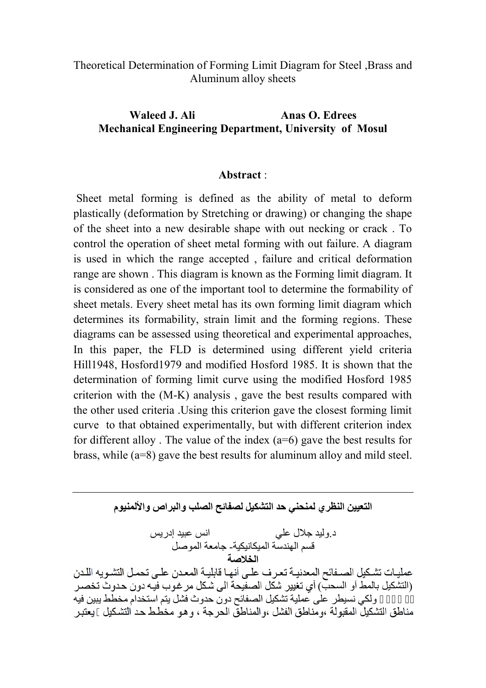## Theoretical Determination of Forming Limit Diagram for Steel ,Brass and Aluminum alloy sheets

# **Waleed J. Ali Anas O. Edrees Mechanical Engineering Department, University of Mosul**

#### **Abstract** :

Sheet metal forming is defined as the ability of metal to deform plastically (deformation by Stretching or drawing) or changing the shape of the sheet into a new desirable shape with out necking or crack . To control the operation of sheet metal forming with out failure. A diagram is used in which the range accepted , failure and critical deformation range are shown . This diagram is known as the Forming limit diagram. It is considered as one of the important tool to determine the formability of sheet metals. Every sheet metal has its own forming limit diagram which determines its formability, strain limit and the forming regions. These diagrams can be assessed using theoretical and experimental approaches, In this paper, the FLD is determined using different yield criteria Hill1948, Hosford1979 and modified Hosford 1985. It is shown that the determination of forming limit curve using the modified Hosford 1985 criterion with the (M-K) analysis , gave the best results compared with the other used criteria .Using this criterion gave the closest forming limit curve to that obtained experimentally, but with different criterion index for different alloy. The value of the index  $(a=6)$  gave the best results for brass, while (a=8) gave the best results for aluminum alloy and mild steel.

**التعیین النظري لمنحني حد التشكیل لصفائح الصلب والبراص والألمنیوم**

د.ولید جلال علي انس عبید إدریس قسم الھندسة المیكانیكیة- جامعة الموصل عمليـات تشكيل الصـفائح المعدنيـة تعرف علـى أنهـا قابليـة المعـدن علـى تحمـل التشـويه اللـدن .<br>(التشكیل بالمط أو السحب) أي تغيير شكل الصفيحة الى شكل مر غوب فيه دون حدوث تخصـر ولكي نسیطر علٰی عملیة تشكیل الصفائح دون حدوث فشل یتم استخدام مخطط یبین فیه مناطق التشكيلُ المقبولة ،ومناطق الفشل ،والمناطقُ الحرجة ، و هو مخطط حد التشكيل يعتبر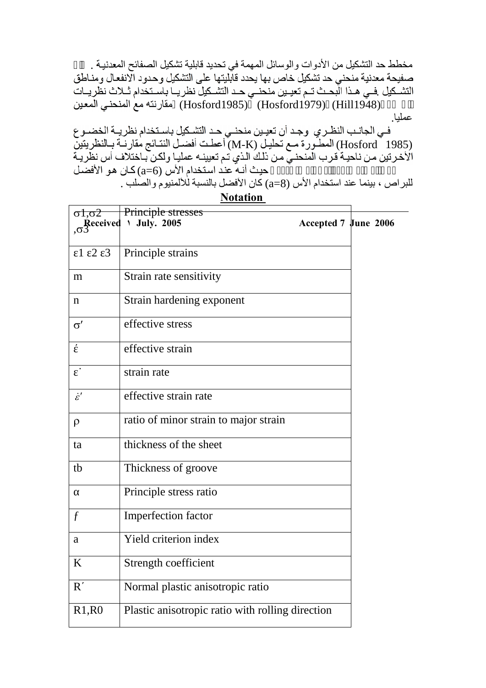مخطط حد التشكیل من الأدوات والوسائل المهمة في تحدید قابلیة تشكیل الصفائح المعدنیــة .<br>صفیحة معدنیة منحنـي حد تشكیل خاص بها يحدد قابليتها علـي التشكيل وحدود الانفعـال ومنـاطق التشكيل فـي هـذا البّحـث تـم تعيـين منحنـي حـد التشـكيل نظريــا باسـتخدام ثـلاث نظّريــات فارنته مع المنحني المعين (Hosford1985) (Hill1948)

عمليا.<br>فـي الجانـب النظـري وجـد أن تعيـين منحنـي حـد التشـكيل باسـتخدام نظريــة الخضــو ع (Hosford - 1985) المطــورة مـع تـحليـل (M-K) أعطـت أفضـل النتـائج مقارنــة بــالنظريتين<br>الأخـرتين مـن ناحيـة قـرب المنحنـي مـن ذلك الـذي تـم تعيينـه عمليـا ولكـن بـاختلاف أس نظريـة حيث أنـه عند استخدام الأس (6=a) كـان هو الأفضـل للبراص ، بینما عند استخدام الأس (8=a (كان الأفضل بالنسبة للألمنیوم والصلب .

| $\sigma$ 1,0 $2$     | Principle stresses                               |                      |  |
|----------------------|--------------------------------------------------|----------------------|--|
| $R$ eceived          | <b>July. 2005</b><br>١.                          | Accepted 7 June 2006 |  |
| $1\quad 2\quad 3$    | Principle strains                                |                      |  |
| m                    | Strain rate sensitivity                          |                      |  |
| $\mathbf n$          | Strain hardening exponent                        |                      |  |
| $\sigma'$            | effective stress                                 |                      |  |
|                      | effective strain                                 |                      |  |
| $\bullet$            | strain rate                                      |                      |  |
| $\dot{\mathcal{E}}'$ | effective strain rate                            |                      |  |
| $\rho$               | ratio of minor strain to major strain            |                      |  |
| ta                   | thickness of the sheet                           |                      |  |
| tb                   | Thickness of groove                              |                      |  |
|                      | Principle stress ratio                           |                      |  |
| $\boldsymbol{f}$     | Imperfection factor                              |                      |  |
| a                    | Yield criterion index                            |                      |  |
| K                    | Strength coefficient                             |                      |  |
| $\mathbf R$          | Normal plastic anisotropic ratio                 |                      |  |
| R1, R0               | Plastic anisotropic ratio with rolling direction |                      |  |

**Notation**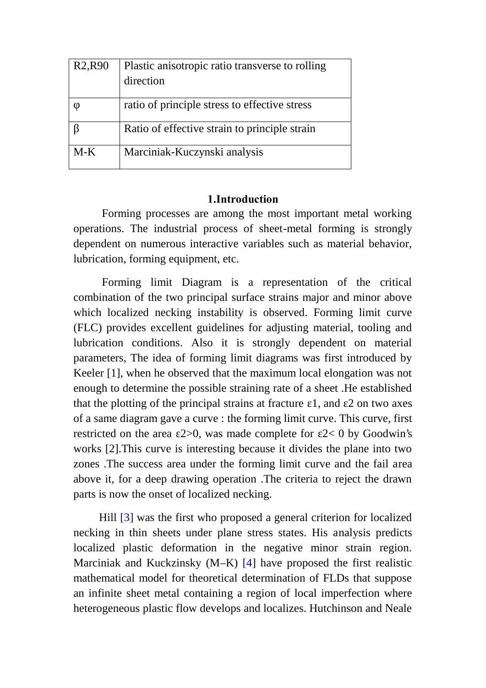| R <sub>2</sub> , R <sub>90</sub> | Plastic anisotropic ratio transverse to rolling |
|----------------------------------|-------------------------------------------------|
|                                  | direction                                       |
|                                  |                                                 |
|                                  | ratio of principle stress to effective stress   |
|                                  | Ratio of effective strain to principle strain   |
| $M-K$                            | Marciniak-Kuczynski analysis                    |

# **1.Introduction**

Forming processes are among the most important metal working operations. The industrial process of sheet-metal forming is strongly dependent on numerous interactive variables such as material behavior, lubrication, forming equipment, etc.

Forming limit Diagram is a representation of the critical combination of the two principal surface strains major and minor above which localized necking instability is observed. Forming limit curve (FLC) provides excellent guidelines for adjusting material, tooling and lubrication conditions. Also it is strongly dependent on material parameters, The idea of forming limit diagrams was first introduced by Keeler [1], when he observed that the maximum local elongation was not enough to determine the possible straining rate of a sheet .He established that the plotting of the principal strains at fracture  $1$ , and  $2$  on two axes of a same diagram gave a curve : the forming limit curve. This curve, first restricted on the area 2 $>0$ , was made complete for 2 $<$  0 by Goodwin's works [2].This curve is interesting because it divides the plane into two zones .The success area under the forming limit curve and the fail area above it, for a deep drawing operation .The criteria to reject the drawn parts is now the onset of localized necking.

Hill [3] was the first who proposed a general criterion for localized necking in thin sheets under plane stress states. His analysis predicts localized plastic deformation in the negative minor strain region. Marciniak and Kuckzinsky (M–K) [4] have proposed the first realistic mathematical model for theoretical determination of FLDs that suppose an infinite sheet metal containing a region of local imperfection where heterogeneous plastic flow develops and localizes. Hutchinson and Neale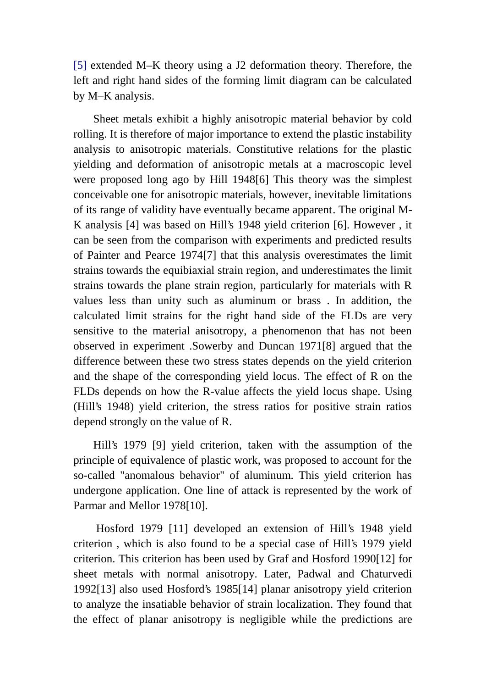[5] extended M–K theory using a J2 deformation theory. Therefore, the left and right hand sides of the forming limit diagram can be calculated by M–K analysis.

Sheet metals exhibit a highly anisotropic material behavior by cold rolling. It is therefore of major importance to extend the plastic instability analysis to anisotropic materials. Constitutive relations for the plastic yielding and deformation of anisotropic metals at a macroscopic level were proposed long ago by Hill 1948[6] This theory was the simplest conceivable one for anisotropic materials, however, inevitable limitations of its range of validity have eventually became apparent. The original M-K analysis [4] was based on Hill's 1948 yield criterion [6]. However , it can be seen from the comparison with experiments and predicted results of Painter and Pearce 1974[7] that this analysis overestimates the limit strains towards the equibiaxial strain region, and underestimates the limit strains towards the plane strain region, particularly for materials with R values less than unity such as aluminum or brass . In addition, the calculated limit strains for the right hand side of the FLDs are very sensitive to the material anisotropy, a phenomenon that has not been observed in experiment .Sowerby and Duncan 1971[8] argued that the difference between these two stress states depends on the yield criterion and the shape of the corresponding yield locus. The effect of R on the FLDs depends on how the R-value affects the yield locus shape. Using (Hill's 1948) yield criterion, the stress ratios for positive strain ratios depend strongly on the value of R.

Hill's 1979 [9] yield criterion, taken with the assumption of the principle of equivalence of plastic work, was proposed to account for the so-called "anomalous behavior" of aluminum. This yield criterion has undergone application. One line of attack is represented by the work of Parmar and Mellor 1978[10].

Hosford 1979 [11] developed an extension of Hill's 1948 yield criterion , which is also found to be a special case of Hill's 1979 yield criterion. This criterion has been used by Graf and Hosford 1990[12] for sheet metals with normal anisotropy. Later, Padwal and Chaturvedi 1992[13] also used Hosford's 1985[14] planar anisotropy yield criterion to analyze the insatiable behavior of strain localization. They found that the effect of planar anisotropy is negligible while the predictions are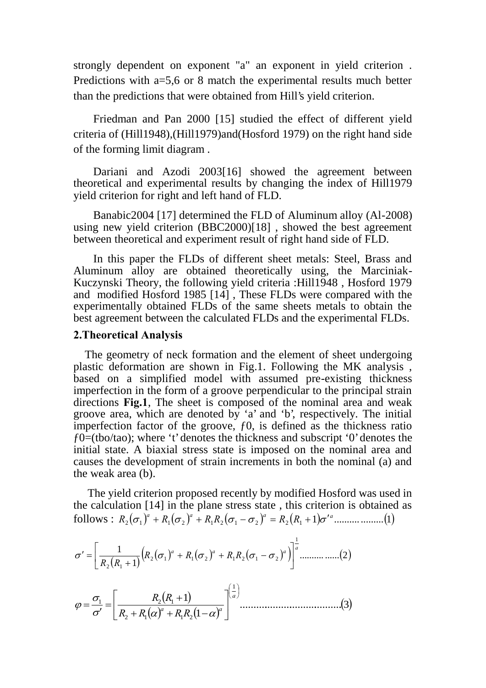strongly dependent on exponent "a" an exponent in yield criterion . Predictions with a=5,6 or 8 match the experimental results much better than the predictions that were obtained from Hill's yield criterion.

Friedman and Pan 2000 [15] studied the effect of different yield criteria of (Hill1948),(Hill1979)and(Hosford 1979) on the right hand side of the forming limit diagram .

Dariani and Azodi 2003[16] showed the agreement between theoretical and experimental results by changing the index of Hill1979 yield criterion for right and left hand of FLD.

Banabic2004 [17] determined the FLD of Aluminum alloy (Al-2008) using new yield criterion (BBC2000)[18] , showed the best agreement between theoretical and experiment result of right hand side of FLD.

In this paper the FLDs of different sheet metals: Steel, Brass and Aluminum alloy are obtained theoretically using, the Marciniak-Kuczynski Theory, the following yield criteria :Hill1948 , Hosford 1979 and modified Hosford 1985 [14] , These FLDs were compared with the experimentally obtained FLDs of the same sheets metals to obtain the best agreement between the calculated FLDs and the experimental FLDs.

#### **2.Theoretical Analysis**

The geometry of neck formation and the element of sheet undergoing plastic deformation are shown in Fig.1. Following the MK analysis , based on a simplified model with assumed pre-existing thickness imperfection in the form of a groove perpendicular to the principal strain directions **Fig.1**, The sheet is composed of the nominal area and weak groove area, which are denoted by `a' and `b', respectively. The initial imperfection factor of the groove,  $f_0$ , is defined as the thickness ratio  $f0=(100)(100)$ ; where 't' denotes the thickness and subscript '0' denotes the initial state. A biaxial stress state is imposed on the nominal area and causes the development of strain increments in both the nominal (a) and the weak area (b).

The yield criterion proposed recently by modified Hosford was used in the calculation [14] in the plane stress state , this criterion is obtained as follows : 1 .......... .........1 <sup>2</sup> <sup>1</sup> <sup>1</sup> <sup>2</sup> <sup>1</sup> <sup>2</sup> <sup>1</sup> <sup>2</sup> <sup>2</sup> <sup>1</sup> *<sup>a</sup> <sup>a</sup> <sup>a</sup> <sup>a</sup> R R R R R R*

$$
\sigma' = \left[ \frac{1}{R_2(R_1+1)} \left( R_2(\sigma_1)^a + R_1(\sigma_2)^a + R_1R_2(\sigma_1 - \sigma_2)^a \right) \right]^{\frac{1}{a}} \dots \dots \dots \dots (2)
$$
  

$$
\varphi = \frac{\sigma_1}{\sigma'} = \left[ \frac{R_2(R_1+1)}{R_2 + R_1(\alpha)^a + R_1R_2(1-\alpha)^a} \right]^{\frac{1}{a}} \dots \dots \dots \dots \dots (3)
$$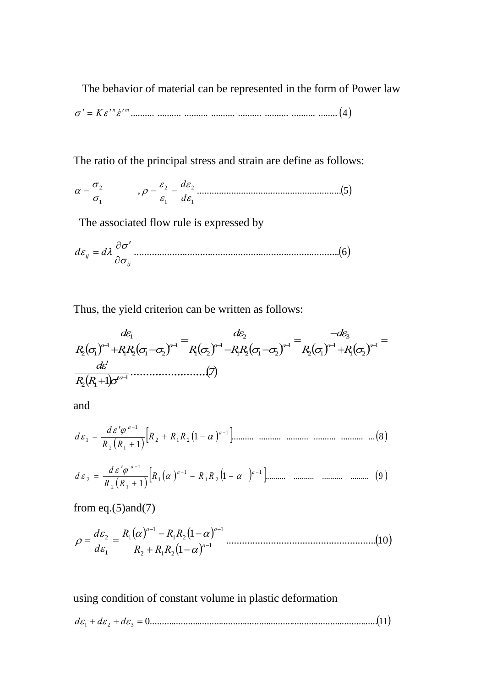The behavior of material can be represented in the form of Power law

.......... .......... .......... .......... .......... .......... .......... ........ 4 *n m K*

The ratio of the principal stress and strain are define as follows:

, ...........................................................5 1 2 1 2 1 2 *d <sup>d</sup>*

The associated flow rule is expressed by

.................................................................................6 *ij d ij d* 

Thus, the yield criterion can be written as follows:

 ..........................7 1 1 2 1 1 1 2 1 2 1 3 1 1 2 1 2 1 1 2 2 1 1 2 1 2 1 2 1 1 *a a a a a a a R R d R R d R RR d R RR d* 

and

 1 .......... .......... .......... .......... .......... ...8 1 1 2 1 2 2 1 1 1 *a a R R R R R d d* 

 1 .......... .......... .......... ......... 9 1 1 1 2 1 1 2 1 1 2 *a a a R R R R R d d* 

from eq. $(5)$ and $(7)$ 

 .........................................................10 1 1 1 2 1 2 1 1 2 1 1 1 2 *<sup>a</sup> a a R R R R R R d d* 

using condition of constant volume in plastic deformation

$$
d\varepsilon_1 + d\varepsilon_2 + d\varepsilon_3 = 0
$$
.................(11)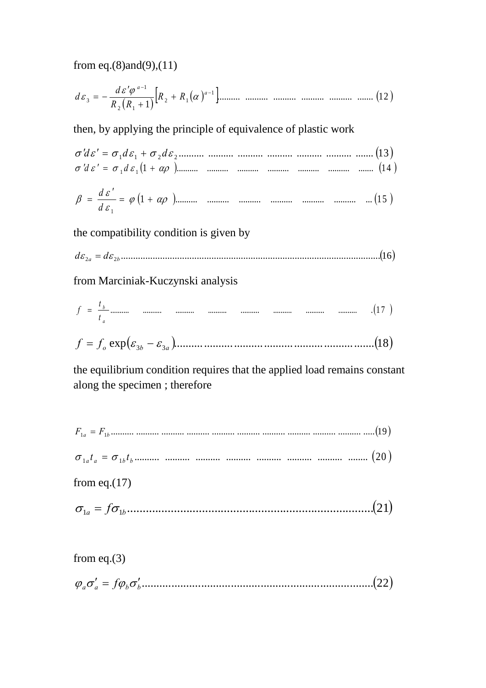from eq. $(8)$ and $(9)$ , $(11)$ 

then, by applying the principle of equivalence of plastic work

the compatibility condition is given by

from Marciniak-Kuczynski analysis

$$
f = \frac{t_b}{t_a}
$$
................. ................. ................. ................. ................. ................. (17 )

the equilibrium condition requires that the applied load remains constant along the specimen; therefore

- 
- 

from eq. $(17)$ 

from eq. $(3)$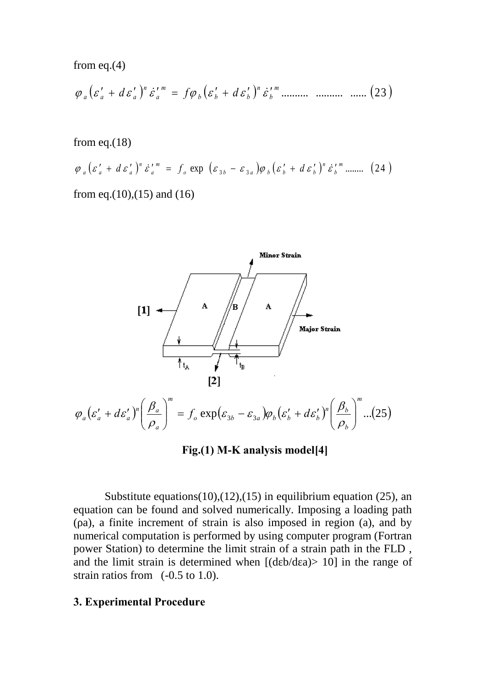from eq.(4)

 .......... .......... ...... 23 *m b n b b b m a n a a a d f d*

from eq. $(18)$ 

$$
\varphi_a \left( \varepsilon_a' + d \varepsilon_a' \right)^n \dot{\varepsilon}_a'^m = f_o \exp \left( \varepsilon_{3b} - \varepsilon_{3a} \right) \varphi_b \left( \varepsilon_b' + d \varepsilon_b' \right)^n \dot{\varepsilon}_b'^m \dots \dots \tag{24}
$$

from eq.(10),(15) and (16)



**Fig.(1) M-K analysis model[4]**

Substitute equations(10),(12),(15) in equilibrium equation (25), an equation can be found and solved numerically. Imposing a loading path ( a), a finite increment of strain is also imposed in region (a), and by numerical computation is performed by using computer program (Fortran power Station) to determine the limit strain of a strain path in the FLD , and the limit strain is determined when  $[(d \, b/d \, a) > 10]$  in the range of strain ratios from (-0.5 to 1.0).

## **3. Experimental Procedure**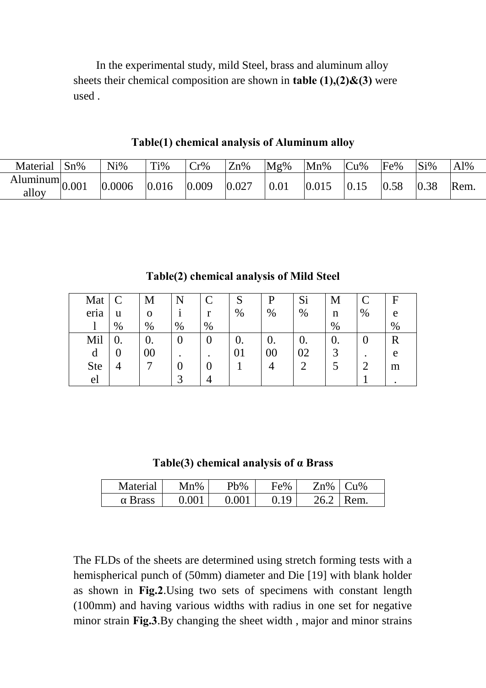In the experimental study, mild Steel, brass and aluminum alloy sheets their chemical composition are shown in **table (1),(2)&(3)** were used .

**Table(1) chemical analysis of Aluminum alloy**

| Material                          | $Sn\%$ | $Ni\%$ | Ti%   | Cr%   | Zn%   | Mg%  | Mn%   | Cu%  | Fe%  | Si%  | Al%  |
|-----------------------------------|--------|--------|-------|-------|-------|------|-------|------|------|------|------|
| Aluminum $\vert_{0.001}$<br>alloy |        | 0.0006 | 0.016 | 0.009 | 0.027 | 0.01 | 0.015 | 0.15 | 0.58 | 0.38 | Rem. |

F e % C % M n % Si % P % S % C r % N i % M o %  $\mathcal{C}$ u % Mat eria l R e m .  $\theta$ . 2 1 0. 3 5 0. 02 2 0. 00 4 0. 01 1 0 . 0 4 0 . 0 3 0. 00 7 0.  $\Omega$ 4 Mil d Ste el

**Table(2) chemical analysis of Mild Steel**

**Table(3) chemical analysis of α Brass**

| Material     | $Mn\%$ | Pb%    | Fe% | Zn%  | $\gamma_{11}\%$ |
|--------------|--------|--------|-----|------|-----------------|
| <b>Brass</b> | 2.001  | N NO 1 | 1 Q | ገሬ ገ | Rem.            |

The FLDs of the sheets are determined using stretch forming tests with a hemispherical punch of (50mm) diameter and Die [19] with blank holder as shown in **Fig.2**.Using two sets of specimens with constant length (100mm) and having various widths with radius in one set for negative minor strain **Fig.3**.By changing the sheet width , major and minor strains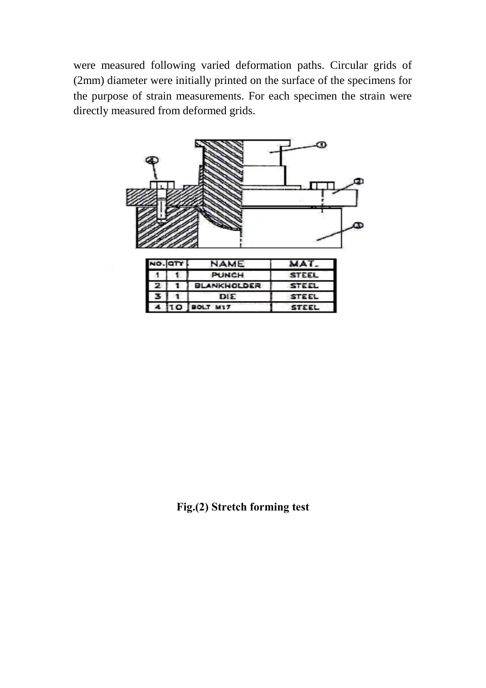were measured following varied deformation paths. Circular grids of (2mm) diameter were initially printed on the surface of the specimens for the purpose of strain measurements. For each specimen the strain were directly measured from deformed grids.



|   |   | NAME.              | .            |
|---|---|--------------------|--------------|
|   |   | PUNCH              | <b>STEEL</b> |
| z |   | <b>BLANKHOLDER</b> | <b>STEEL</b> |
|   |   | DIE                | STEEL        |
|   | c | BOLT MIT           | STEEL        |

**Fig.(2) Stretch forming test**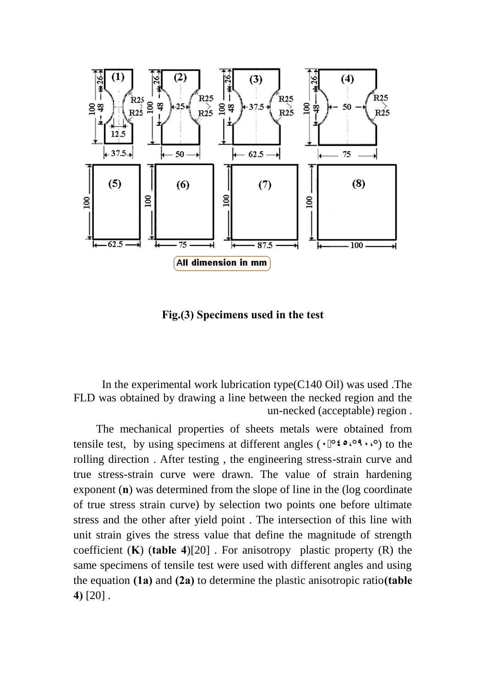

**Fig.(3) Specimens used in the test**

In the experimental work lubrication type(C140 Oil) was used .The FLD was obtained by drawing a line between the necked region and the un-necked (acceptable) region .

The mechanical properties of sheets metals were obtained from tensile test, by using specimens at different angles (**٠ °٤٥،°٩٠،°**) to the rolling direction . After testing , the engineering stress-strain curve and true stress-strain curve were drawn. The value of strain hardening exponent (**n**) was determined from the slope of line in the (log coordinate of true stress strain curve) by selection two points one before ultimate stress and the other after yield point . The intersection of this line with unit strain gives the stress value that define the magnitude of strength coefficient (**K**) (**table 4**)[20] . For anisotropy plastic property (R) the same specimens of tensile test were used with different angles and using the equation **(1a)** and **(2a)** to determine the plastic anisotropic ratio**(table 4)** [20] .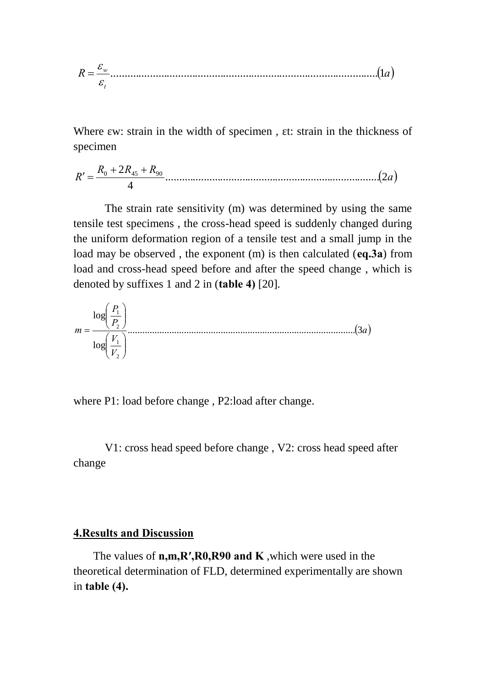*R a t w* ...............................................................................................1 

Where w: strain in the width of specimen, t: strain in the thickness of specimen

 *a R R R R* .............................................................................. 2 4 <sup>0</sup> 2 <sup>45</sup> <sup>90</sup> 

The strain rate sensitivity (m) was determined by using the same tensile test specimens , the cross-head speed is suddenly changed during the uniform deformation region of a tensile test and a small jump in the load may be observed , the exponent (m) is then calculated (**eq.3a**) from load and cross-head speed before and after the speed change , which is denoted by suffixes 1 and 2 in (**table 4)** [20].



where P1: load before change , P2:load after change.

V1: cross head speed before change , V2: cross head speed after change

#### **4.Results and Discussion**

The values of **n,m,R′,R0,R90 and K** ,which were used in the theoretical determination of FLD, determined experimentally are shown in **table (4).**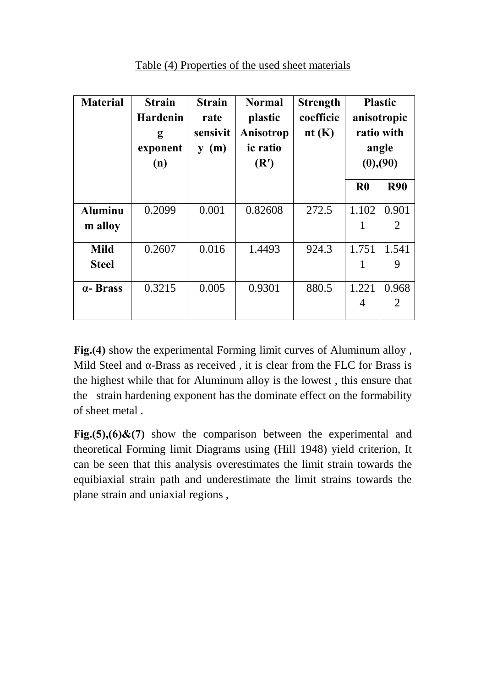| <b>Material</b> | <b>Strain</b><br><b>Hardenin</b><br>g<br>exponent<br>(n) | <b>Strain</b><br>rate<br>sensivit<br>(m)<br>y | <b>Normal</b><br>plastic<br>Anisotrop<br>ic ratio<br>(R') | <b>Strength</b><br>coefficie<br>nt $(K)$ | <b>Plastic</b><br>anisotropic<br>ratio with<br>angle<br>(0), (90) |            |
|-----------------|----------------------------------------------------------|-----------------------------------------------|-----------------------------------------------------------|------------------------------------------|-------------------------------------------------------------------|------------|
|                 |                                                          |                                               |                                                           |                                          | $\bf R0$                                                          | <b>R90</b> |
| <b>Aluminu</b>  | 0.2099                                                   | 0.001                                         | 0.82608                                                   | 272.5                                    | 1.102                                                             | 0.901      |
| m alloy         |                                                          |                                               |                                                           |                                          | 1                                                                 | 2          |
| <b>Mild</b>     | 0.2607                                                   | 0.016                                         | 1.4493                                                    | 924.3                                    | 1.751                                                             | 1.541      |
| <b>Steel</b>    |                                                          |                                               |                                                           |                                          | 1                                                                 | 9          |
| a-Brass         | 0.3215                                                   | 0.005                                         | 0.9301                                                    | 880.5                                    | 1.221                                                             | 0.968      |
|                 |                                                          |                                               |                                                           |                                          | $\overline{4}$                                                    | 2          |

Table (4) Properties of the used sheet materials

**Fig.(4)** show the experimental Forming limit curves of Aluminum alloy , Mild Steel and -Brass as received , it is clear from the FLC for Brass is the highest while that for Aluminum alloy is the lowest , this ensure that the strain hardening exponent has the dominate effect on the formability of sheet metal .

**Fig.(5),(6)&(7)** show the comparison between the experimental and theoretical Forming limit Diagrams using (Hill 1948) yield criterion, It can be seen that this analysis overestimates the limit strain towards the equibiaxial strain path and underestimate the limit strains towards the plane strain and uniaxial regions ,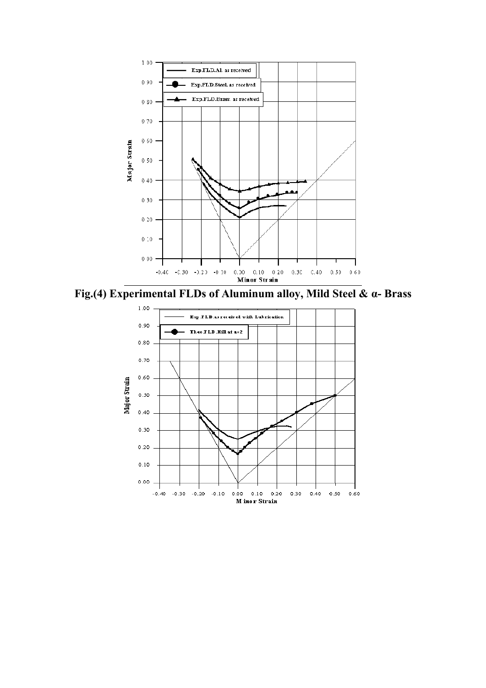

**Fig.(4) Experimental FLDs of Aluminum alloy, Mild Steel & α- Brass**

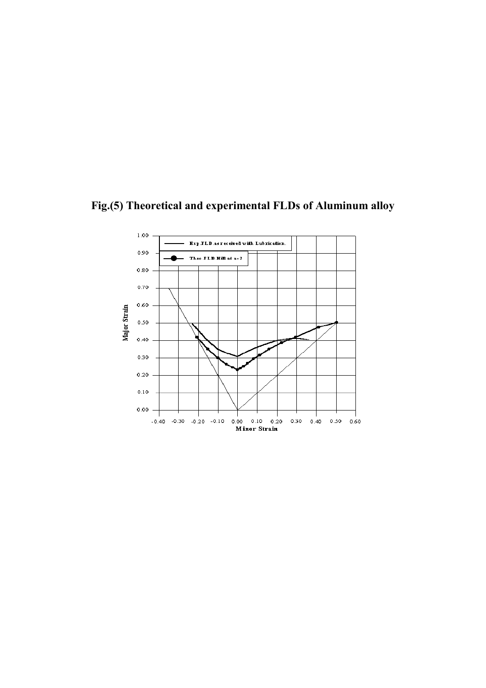

**Fig.(5) Theoretical and experimental FLDs of Aluminum alloy**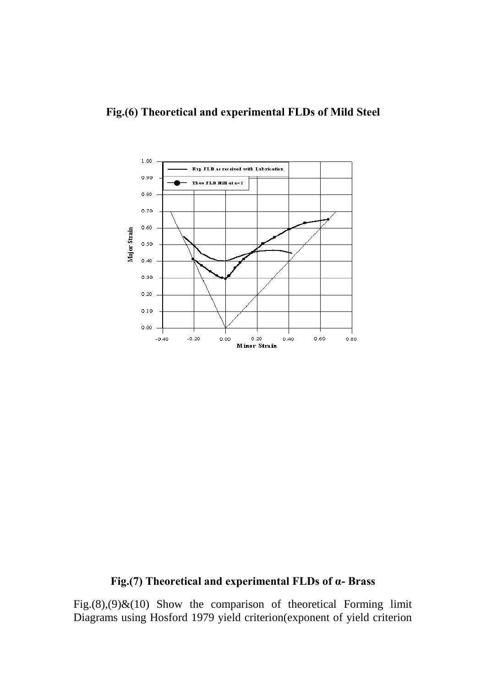

# **Fig.(7) Theoretical and experimental FLDs of α- Brass**

Fig. $(8)$ , $(9)$ & $(10)$  Show the comparison of theoretical Forming limit Diagrams using Hosford 1979 yield criterion(exponent of yield criterion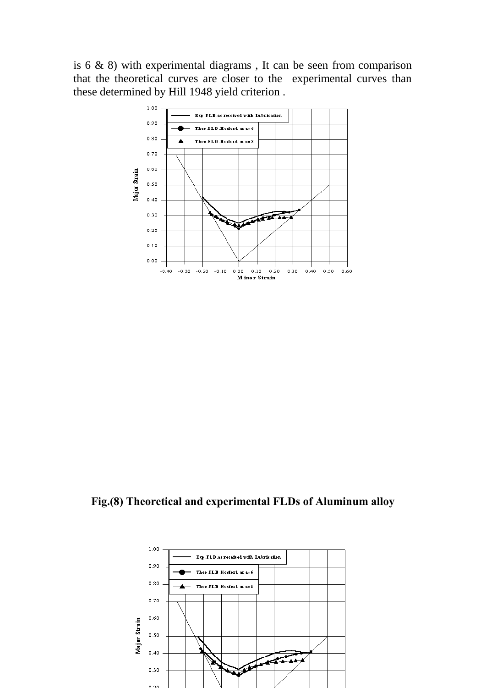is 6 & 8) with experimental diagrams , It can be seen from comparison that the theoretical curves are closer to the experimental curves than these determined by Hill 1948 yield criterion .



**Fig.(8) Theoretical and experimental FLDs of Aluminum alloy**

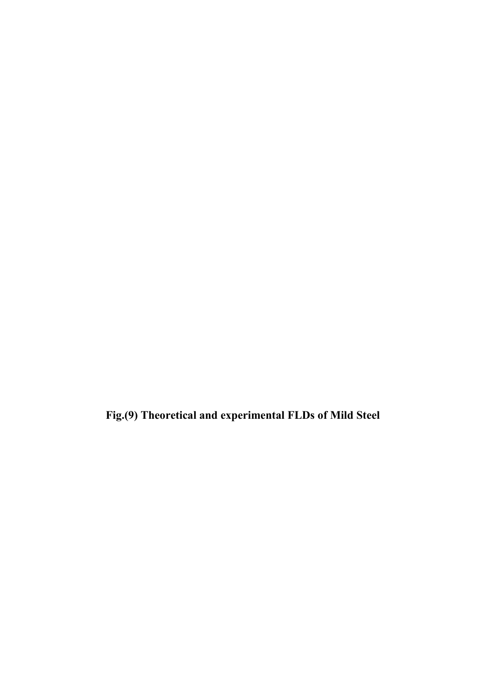**Fig.(9) Theoretical and experimental FLDs of Mild Steel**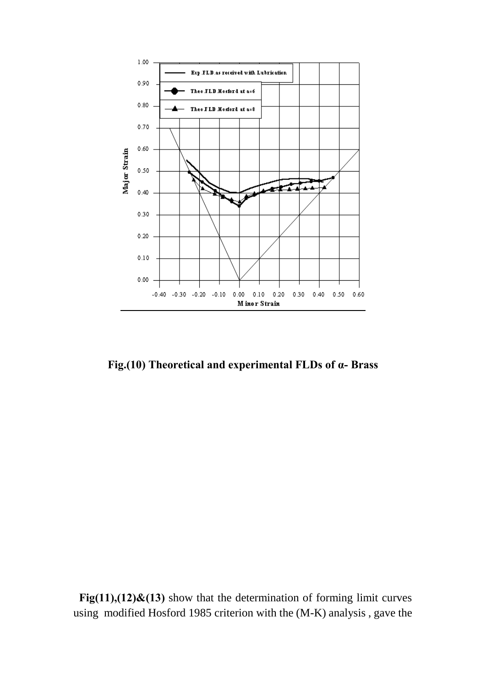

**Fig.(10) Theoretical and experimental FLDs of α- Brass**

**Fig(11),(12)&(13)** show that the determination of forming limit curves using modified Hosford 1985 criterion with the (M-K) analysis , gave the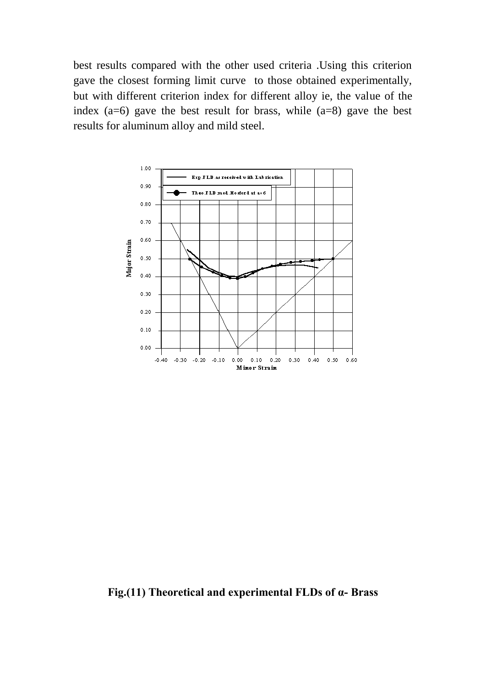best results compared with the other used criteria .Using this criterion gave the closest forming limit curve to those obtained experimentally, but with different criterion index for different alloy ie, the value of the index  $(a=6)$  gave the best result for brass, while  $(a=8)$  gave the best results for aluminum alloy and mild steel.



**Fig.(11) Theoretical and experimental FLDs of α- Brass**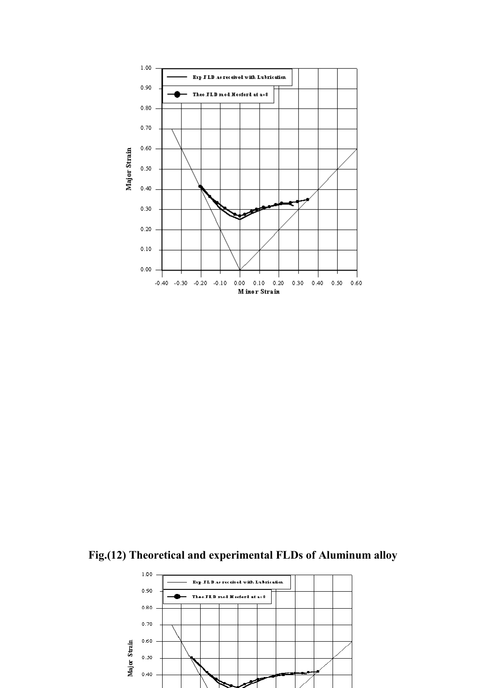

**Fig.(12) Theoretical and experimental FLDs of Aluminum alloy**

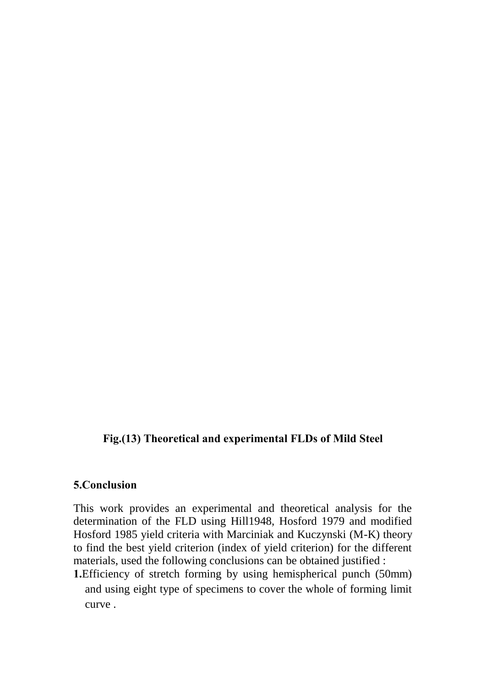# **Fig.(13) Theoretical and experimental FLDs of Mild Steel**

## **5.Conclusion**

This work provides an experimental and theoretical analysis for the determination of the FLD using Hill1948, Hosford 1979 and modified Hosford 1985 yield criteria with Marciniak and Kuczynski (M-K) theory to find the best yield criterion (index of yield criterion) for the different materials, used the following conclusions can be obtained justified :

**1.**Efficiency of stretch forming by using hemispherical punch (50mm) and using eight type of specimens to cover the whole of forming limit curve .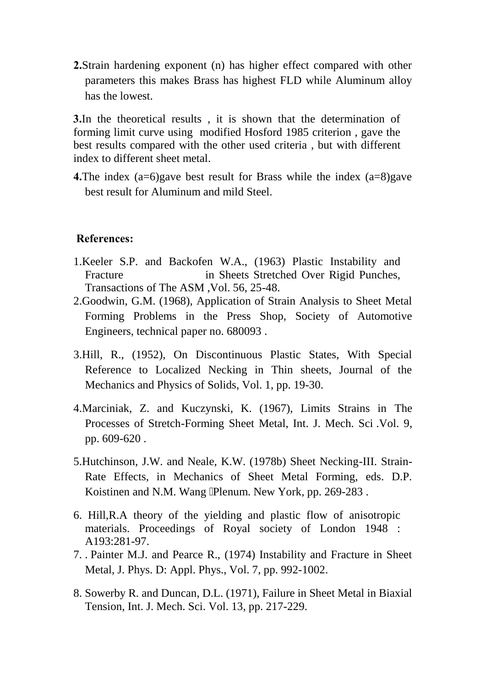**2.**Strain hardening exponent (n) has higher effect compared with other parameters this makes Brass has highest FLD while Aluminum alloy has the lowest.

**3.**In the theoretical results , it is shown that the determination of forming limit curve using modified Hosford 1985 criterion , gave the best results compared with the other used criteria , but with different index to different sheet metal.

**4.**The index (a=6)gave best result for Brass while the index (a=8)gave best result for Aluminum and mild Steel.

## **References:**

- 1.Keeler S.P. and Backofen W.A., (1963) Plastic Instability and Fracture in Sheets Stretched Over Rigid Punches, Transactions of The ASM ,Vol. 56, 25-48.
- 2.Goodwin, G.M. (1968), Application of Strain Analysis to Sheet Metal Forming Problems in the Press Shop, Society of Automotive Engineers, technical paper no. 680093 .
- 3.Hill, R., (1952), On Discontinuous Plastic States, With Special Reference to Localized Necking in Thin sheets, Journal of the Mechanics and Physics of Solids, Vol. 1, pp. 19-30.
- 4.Marciniak, Z. and Kuczynski, K. (1967), Limits Strains in The Processes of Stretch-Forming Sheet Metal, Int. J. Mech. Sci .Vol. 9, pp. 609-620 .
- 5.Hutchinson, J.W. and Neale, K.W. (1978b) Sheet Necking-III. Strain-Rate Effects, in Mechanics of Sheet Metal Forming, eds. D.P. Koistinen and N.M. Wang Plenum. New York, pp. 269-283.
- 6. Hill,R.A theory of the yielding and plastic flow of anisotropic materials. Proceedings of Royal society of London 1948 : A193:281-97.
- 7. . Painter M.J. and Pearce R., (1974) Instability and Fracture in Sheet Metal, J. Phys. D: Appl. Phys., Vol. 7, pp. 992-1002.
- 8. Sowerby R. and Duncan, D.L. (1971), Failure in Sheet Metal in Biaxial Tension, Int. J. Mech. Sci. Vol. 13, pp. 217-229.